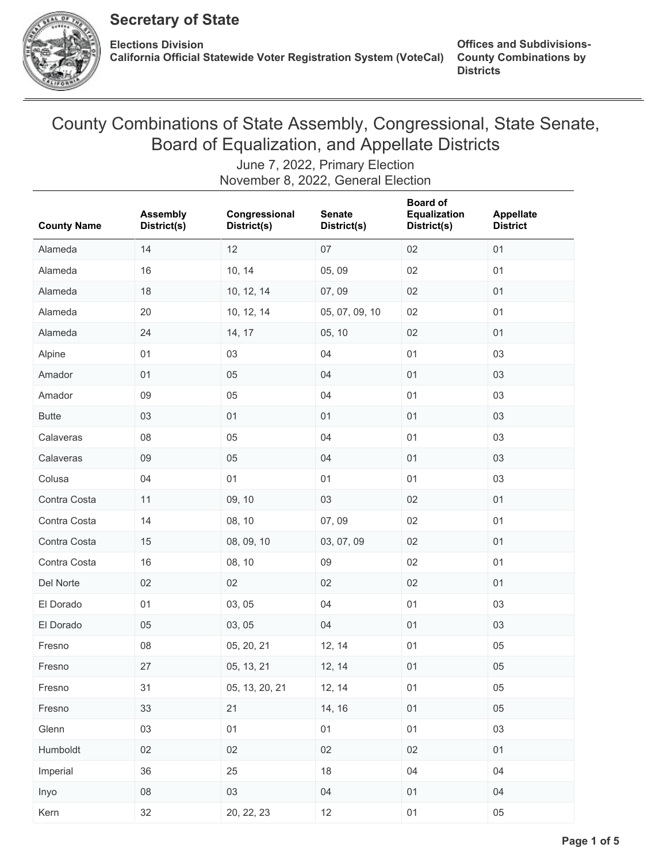

# County Combinations of State Assembly, Congressional, State Senate, Board of Equalization, and Appellate Districts

| <b>County Name</b> | <b>Assembly</b><br>District(s) | Congressional<br>District(s) | <b>Senate</b><br>District(s) | <b>Board of</b><br>Equalization<br>District(s) | Appellate<br><b>District</b> |
|--------------------|--------------------------------|------------------------------|------------------------------|------------------------------------------------|------------------------------|
| Alameda            | 14                             | 12                           | 07                           | 02                                             | 01                           |
| Alameda            | 16                             | 10, 14                       | 05,09                        | 02                                             | 01                           |
| Alameda            | 18                             | 10, 12, 14                   | 07,09                        | 02                                             | 01                           |
| Alameda            | 20                             | 10, 12, 14                   | 05, 07, 09, 10               | 02                                             | 01                           |
| Alameda            | 24                             | 14, 17                       | 05, 10                       | 02                                             | 01                           |
| Alpine             | 01                             | 03                           | 04                           | 01                                             | 03                           |
| Amador             | 01                             | 05                           | 04                           | 01                                             | 03                           |
| Amador             | 09                             | 05                           | 04                           | 01                                             | 03                           |
| <b>Butte</b>       | 03                             | 01                           | 01                           | 01                                             | 03                           |
| Calaveras          | 08                             | 05                           | 04                           | 01                                             | 03                           |
| Calaveras          | 09                             | 05                           | 04                           | 01                                             | 03                           |
| Colusa             | 04                             | 01                           | 01                           | 01                                             | 03                           |
| Contra Costa       | 11                             | 09, 10                       | 03                           | 02                                             | 01                           |
| Contra Costa       | 14                             | 08, 10                       | 07,09                        | 02                                             | 01                           |
| Contra Costa       | 15                             | 08, 09, 10                   | 03, 07, 09                   | 02                                             | 01                           |
| Contra Costa       | 16                             | 08, 10                       | 09                           | 02                                             | 01                           |
| Del Norte          | 02                             | 02                           | 02                           | 02                                             | 01                           |
| El Dorado          | 01                             | 03, 05                       | 04                           | 01                                             | 03                           |
| El Dorado          | 05                             | 03, 05                       | 04                           | 01                                             | 03                           |
| Fresno             | 08                             | 05, 20, 21                   | 12, 14                       | 01                                             | 05                           |
| Fresno             | 27                             | 05, 13, 21                   | 12, 14                       | 01                                             | 05                           |
| Fresno             | 31                             | 05, 13, 20, 21               | 12, 14                       | 01                                             | 05                           |
| Fresno             | 33                             | 21                           | 14, 16                       | 01                                             | 05                           |
| Glenn              | 03                             | 01                           | 01                           | 01                                             | 03                           |
| Humboldt           | 02                             | 02                           | 02                           | 02                                             | 01                           |
| Imperial           | 36                             | 25                           | 18                           | 04                                             | 04                           |
| Inyo               | 08                             | 03                           | 04                           | 01                                             | 04                           |
| Kern               | 32                             | 20, 22, 23                   | 12                           | 01                                             | 05                           |

June 7, 2022, Primary Election November 8, 2022, General Election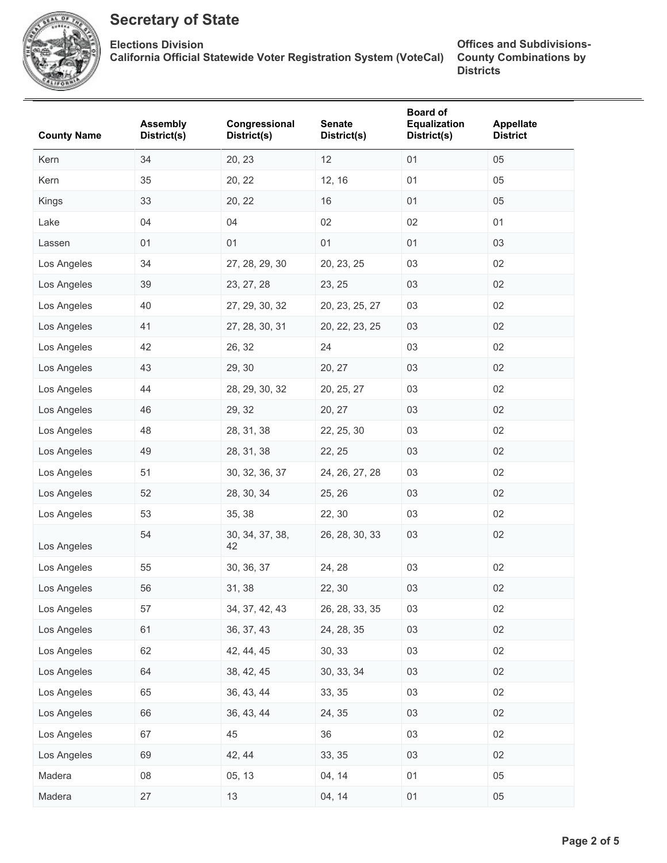

**Elections Division California Official Statewide Voter Registration System (VoteCal)**

| 34<br>12<br>01<br>Kern<br>20, 23<br>12, 16<br>Kern<br>35<br>20, 22<br>01<br>33<br>01<br>Kings<br>20, 22<br>16<br>04<br>04<br>02<br>02<br>Lake<br>01<br>01<br>01<br>01<br>Lassen | 05<br>05<br>05<br>01<br>03<br>02<br>02<br>02<br>02 |
|---------------------------------------------------------------------------------------------------------------------------------------------------------------------------------|----------------------------------------------------|
|                                                                                                                                                                                 |                                                    |
|                                                                                                                                                                                 |                                                    |
|                                                                                                                                                                                 |                                                    |
|                                                                                                                                                                                 |                                                    |
|                                                                                                                                                                                 |                                                    |
| Los Angeles<br>34<br>27, 28, 29, 30<br>03<br>20, 23, 25                                                                                                                         |                                                    |
| 23, 25<br>Los Angeles<br>39<br>23, 27, 28<br>03                                                                                                                                 |                                                    |
| 40<br>03<br>Los Angeles<br>27, 29, 30, 32<br>20, 23, 25, 27                                                                                                                     |                                                    |
| 41<br>03<br>Los Angeles<br>27, 28, 30, 31<br>20, 22, 23, 25                                                                                                                     |                                                    |
| 42<br>26, 32<br>24<br>03<br>Los Angeles                                                                                                                                         | 02                                                 |
| 43<br>Los Angeles<br>29, 30<br>20, 27<br>03                                                                                                                                     | 02                                                 |
| 44<br>28, 29, 30, 32<br>Los Angeles<br>20, 25, 27<br>03                                                                                                                         | 02                                                 |
| 46<br>Los Angeles<br>29, 32<br>20, 27<br>03                                                                                                                                     | 02                                                 |
| 48<br>Los Angeles<br>28, 31, 38<br>03<br>22, 25, 30                                                                                                                             | 02                                                 |
| 49<br>28, 31, 38<br>03<br>Los Angeles<br>22, 25                                                                                                                                 | 02                                                 |
| Los Angeles<br>51<br>30, 32, 36, 37<br>24, 26, 27, 28<br>03                                                                                                                     | 02                                                 |
| 52<br>28, 30, 34<br>Los Angeles<br>25, 26<br>03                                                                                                                                 | 02                                                 |
| 53<br>35, 38<br>22, 30<br>03<br>Los Angeles                                                                                                                                     | 02                                                 |
| 54<br>26, 28, 30, 33<br>03<br>30, 34, 37, 38,<br>Los Angeles<br>42                                                                                                              | 02                                                 |
| 03<br>Los Angeles<br>55<br>30, 36, 37<br>24, 28                                                                                                                                 | 02                                                 |
| 56<br>31, 38<br>03<br>Los Angeles<br>22, 30                                                                                                                                     | 02                                                 |
| 57<br>Los Angeles<br>26, 28, 33, 35<br>03<br>34, 37, 42, 43                                                                                                                     | 02                                                 |
| 61<br>36, 37, 43<br>24, 28, 35<br>Los Angeles<br>03                                                                                                                             | 02                                                 |
| 42, 44, 45<br>30, 33<br>Los Angeles<br>62<br>03                                                                                                                                 | 02                                                 |
| 64<br>38, 42, 45<br>30, 33, 34<br>Los Angeles<br>03                                                                                                                             | $02\,$                                             |
| 65<br>36, 43, 44<br>33, 35<br>Los Angeles<br>03                                                                                                                                 | 02                                                 |
| Los Angeles<br>66<br>36, 43, 44<br>24, 35<br>03                                                                                                                                 | 02                                                 |
| 45<br>Los Angeles<br>67<br>36<br>03                                                                                                                                             | 02                                                 |
| Los Angeles<br>42, 44<br>33, 35<br>69<br>03                                                                                                                                     | 02                                                 |
| 80<br>05, 13<br>04, 14<br>Madera<br>01                                                                                                                                          | 05                                                 |
| Madera<br>13<br>27<br>04, 14<br>01                                                                                                                                              | 05                                                 |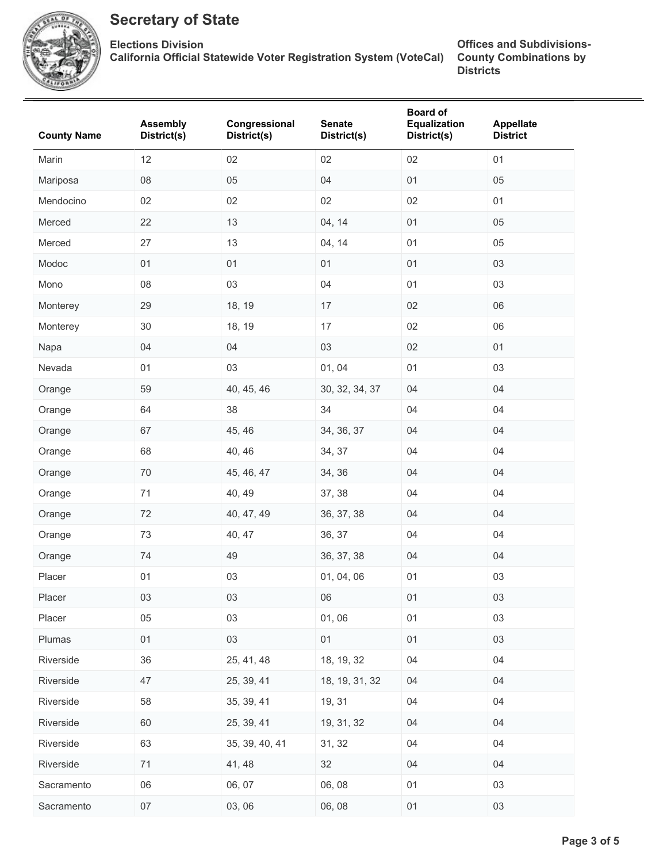

**Elections Division California Official Statewide Voter Registration System (VoteCal)**

| <b>County Name</b> | <b>Assembly</b><br>District(s) | Congressional<br>District(s) | <b>Senate</b><br>District(s) | <b>Board of</b><br>Equalization<br>District(s) | Appellate<br><b>District</b> |
|--------------------|--------------------------------|------------------------------|------------------------------|------------------------------------------------|------------------------------|
| Marin              | 12                             | 02                           | 02                           | 02                                             | 01                           |
| Mariposa           | 08                             | 05                           | 04                           | 01                                             | 05                           |
| Mendocino          | 02                             | 02                           | 02                           | 02                                             | 01                           |
| Merced             | 22                             | 13                           | 04, 14                       | 01                                             | 05                           |
| Merced             | 27                             | 13                           | 04, 14                       | 01                                             | 05                           |
| Modoc              | 01                             | 01                           | 01                           | 01                                             | 03                           |
| Mono               | 08                             | 03                           | 04                           | 01                                             | 03                           |
| Monterey           | 29                             | 18, 19                       | 17                           | 02                                             | 06                           |
| Monterey           | $30\,$                         | 18, 19                       | 17                           | 02                                             | 06                           |
| Napa               | 04                             | 04                           | 03                           | 02                                             | 01                           |
| Nevada             | 01                             | 03                           | 01, 04                       | 01                                             | 03                           |
| Orange             | 59                             | 40, 45, 46                   | 30, 32, 34, 37               | 04                                             | 04                           |
| Orange             | 64                             | 38                           | 34                           | 04                                             | 04                           |
| Orange             | 67                             | 45, 46                       | 34, 36, 37                   | 04                                             | 04                           |
| Orange             | 68                             | 40, 46                       | 34, 37                       | 04                                             | 04                           |
| Orange             | $70\,$                         | 45, 46, 47                   | 34, 36                       | 04                                             | 04                           |
| Orange             | 71                             | 40, 49                       | 37, 38                       | 04                                             | 04                           |
| Orange             | 72                             | 40, 47, 49                   | 36, 37, 38                   | 04                                             | 04                           |
| Orange             | 73                             | 40, 47                       | 36, 37                       | 04                                             | 04                           |
| Orange             | 74                             | 49                           | 36, 37, 38                   | 04                                             | 04                           |
| Placer             | 01                             | 03                           | 01, 04, 06                   | 01                                             | 03                           |
| Placer             | 03                             | 03                           | 06                           | 01                                             | 03                           |
| Placer             | 05                             | 03                           | 01,06                        | 01                                             | 03                           |
| Plumas             | 01                             | 03                           | 01                           | 01                                             | 03                           |
| Riverside          | 36                             | 25, 41, 48                   | 18, 19, 32                   | 04                                             | 04                           |
| Riverside          | 47                             | 25, 39, 41                   | 18, 19, 31, 32               | 04                                             | 04                           |
| Riverside          | 58                             | 35, 39, 41                   | 19, 31                       | 04                                             | 04                           |
| Riverside          | 60                             | 25, 39, 41                   | 19, 31, 32                   | 04                                             | 04                           |
| Riverside          | 63                             | 35, 39, 40, 41               | 31, 32                       | 04                                             | 04                           |
| Riverside          | $71$                           | 41, 48                       | 32                           | 04                                             | 04                           |
| Sacramento         | 06                             | 06, 07                       | 06, 08                       | 01                                             | 03                           |
| Sacramento         | 07                             | 03, 06                       | 06, 08                       | 01                                             | 03                           |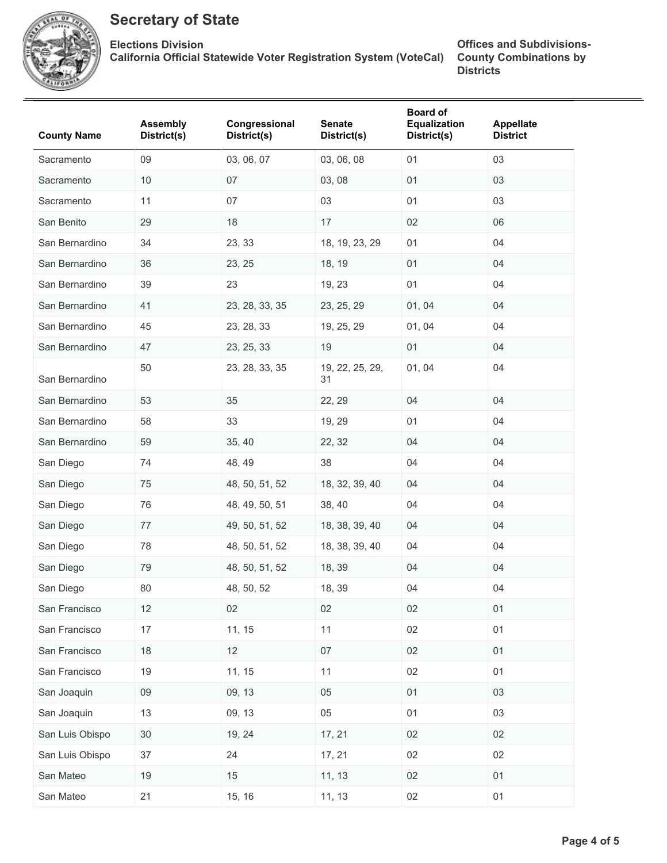

**Elections Division California Official Statewide Voter Registration System (VoteCal)**

| <b>County Name</b> | <b>Assembly</b><br>District(s) | Congressional<br>District(s) | <b>Senate</b><br>District(s) | <b>Board of</b><br><b>Equalization</b><br>District(s) | Appellate<br><b>District</b> |
|--------------------|--------------------------------|------------------------------|------------------------------|-------------------------------------------------------|------------------------------|
| Sacramento         | 09                             | 03, 06, 07                   | 03, 06, 08                   | 01                                                    | 03                           |
| Sacramento         | 10                             | 07                           | 03, 08                       | 01                                                    | 03                           |
| Sacramento         | 11                             | 07                           | 03                           | 01                                                    | 03                           |
| San Benito         | 29                             | 18                           | 17                           | 02                                                    | 06                           |
| San Bernardino     | 34                             | 23, 33                       | 18, 19, 23, 29               | 01                                                    | 04                           |
| San Bernardino     | 36                             | 23, 25                       | 18, 19                       | 01                                                    | 04                           |
| San Bernardino     | 39                             | 23                           | 19, 23                       | 01                                                    | 04                           |
| San Bernardino     | 41                             | 23, 28, 33, 35               | 23, 25, 29                   | 01, 04                                                | 04                           |
| San Bernardino     | 45                             | 23, 28, 33                   | 19, 25, 29                   | 01, 04                                                | 04                           |
| San Bernardino     | 47                             | 23, 25, 33                   | 19                           | 01                                                    | 04                           |
| San Bernardino     | 50                             | 23, 28, 33, 35               | 19, 22, 25, 29,<br>31        | 01, 04                                                | 04                           |
| San Bernardino     | 53                             | 35                           | 22, 29                       | 04                                                    | 04                           |
| San Bernardino     | 58                             | 33                           | 19, 29                       | 01                                                    | 04                           |
| San Bernardino     | 59                             | 35, 40                       | 22, 32                       | 04                                                    | 04                           |
| San Diego          | 74                             | 48, 49                       | 38                           | 04                                                    | 04                           |
| San Diego          | 75                             | 48, 50, 51, 52               | 18, 32, 39, 40               | 04                                                    | 04                           |
| San Diego          | 76                             | 48, 49, 50, 51               | 38, 40                       | 04                                                    | 04                           |
| San Diego          | 77                             | 49, 50, 51, 52               | 18, 38, 39, 40               | 04                                                    | 04                           |
| San Diego          | 78                             | 48, 50, 51, 52               | 18, 38, 39, 40               | 04                                                    | 04                           |
| San Diego          | 79                             | 48, 50, 51, 52               | 18, 39                       | 04                                                    | 04                           |
| San Diego          | 80                             | 48, 50, 52                   | 18, 39                       | 04                                                    | 04                           |
| San Francisco      | 12                             | 02                           | 02                           | 02                                                    | 01                           |
| San Francisco      | 17                             | 11, 15                       | 11                           | 02                                                    | 01                           |
| San Francisco      | 18                             | 12                           | 07                           | 02                                                    | 01                           |
| San Francisco      | 19                             | 11, 15                       | 11                           | 02                                                    | 01                           |
| San Joaquin        | 09                             | 09, 13                       | $05\,$                       | 01                                                    | 03                           |
| San Joaquin        | 13                             | 09, 13                       | 05                           | 01                                                    | 03                           |
| San Luis Obispo    | $30\,$                         | 19, 24                       | 17, 21                       | 02                                                    | 02                           |
| San Luis Obispo    | 37                             | 24                           | 17, 21                       | 02                                                    | 02                           |
| San Mateo          | 19                             | 15                           | 11, 13                       | 02                                                    | 01                           |
| San Mateo          | 21                             | 15, 16                       | 11, 13                       | 02                                                    | 01                           |